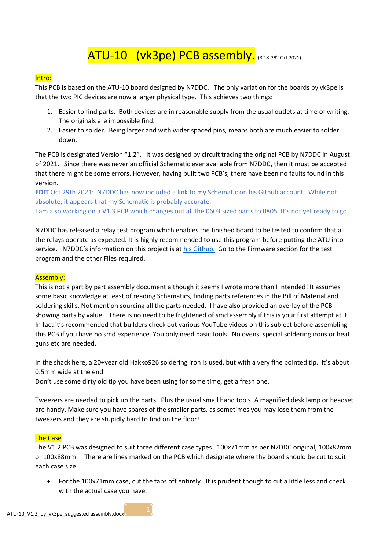# ATU-10 (vk3pe) PCB assembly. (8th & 29th Oct 2021)

## Intro:

This PCB is based on the ATU-10 board designed by N7DDC. The only variation for the boards by vk3pe is that the two PIC devices are now a larger physical type. This achieves two things:

- 1. Easier to find parts. Both devices are in reasonable supply from the usual outlets at time of writing. The originals are impossible find.
- 2. Easier to solder. Being larger and with wider spaced pins, means both are much easier to solder down.

The PCB is designated Version "1.2". It was designed by circuit tracing the original PCB by N7DDC in August of 2021. Since there was never an official Schematic ever available from N7DDC, then it must be accepted that there might be some errors. However, having built two PCB's, there have been no faults found in this version.

EDIT Oct 29th 2021: N7DDC has now included a link to my Schematic on his Github account. While not absolute, it appears that my Schematic is probably accurate. I am also working on a V1.3 PCB which changes out all the 0603 sized parts to 0805. It's not yet ready to go.

N7DDC has released a relay test program which enables the finished board to be tested to confirm that all the relays operate as expected. It is highly recommended to use this program before putting the ATU into service. N7DDC's information on this project is at his Github. Go to the Firmware section for the test program and the other Files required.

#### Assembly:

This is not a part by part assembly document although it seems I wrote more than I intended! It assumes some basic knowledge at least of reading Schematics, finding parts references in the Bill of Material and soldering skills. Not mention sourcing all the parts needed. I have also provided an overlay of the PCB showing parts by value. There is no need to be frightened of smd assembly if this is your first attempt at it. In fact it's recommended that builders check out various YouTube videos on this subject before assembling this PCB if you have no smd experience. You only need basic tools. No ovens, special soldering irons or heat guns etc are needed.

In the shack here, a 20+year old Hakko926 soldering iron is used, but with a very fine pointed tip. It's about 0.5mm wide at the end.

Don't use some dirty old tip you have been using for some time, get a fresh one.

Tweezers are needed to pick up the parts. Plus the usual small hand tools. A magnified desk lamp or headset are handy. Make sure you have spares of the smaller parts, as sometimes you may lose them from the tweezers and they are stupidly hard to find on the floor!

#### The Case

The V1.2 PCB was designed to suit three different case types. 100x71mm as per N7DDC original, 100x82mm or 100x88mm. There are lines marked on the PCB which designate where the board should be cut to suit each case size.

 For the 100x71mm case, cut the tabs off entirely. It is prudent though to cut a little less and check with the actual case you have.

 $\mathbf{1}$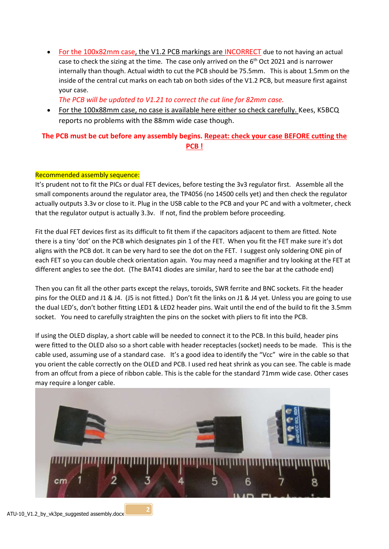• For the 100x82mm case, the V1.2 PCB markings are INCORRECT due to not having an actual case to check the sizing at the time. The case only arrived on the 6<sup>th</sup> Oct 2021 and is narrower internally than though. Actual width to cut the PCB should be 75.5mm. This is about 1.5mm on the inside of the central cut marks on each tab on both sides of the V1.2 PCB, but measure first against your case.

The PCB will be updated to V1.21 to correct the cut line for 82mm case.

 For the 100x88mm case, no case is available here either so check carefully. Kees, K5BCQ reports no problems with the 88mm wide case though.

## The PCB must be cut before any assembly begins. Repeat: check your case BEFORE cutting the PCB !

## Recommended assembly sequence:

It's prudent not to fit the PICs or dual FET devices, before testing the 3v3 regulator first. Assemble all the small components around the regulator area, the TP4056 (no 14500 cells yet) and then check the regulator actually outputs 3.3v or close to it. Plug in the USB cable to the PCB and your PC and with a voltmeter, check that the regulator output is actually 3.3v. If not, find the problem before proceeding.

Fit the dual FET devices first as its difficult to fit them if the capacitors adjacent to them are fitted. Note there is a tiny 'dot' on the PCB which designates pin 1 of the FET. When you fit the FET make sure it's dot aligns with the PCB dot. It can be very hard to see the dot on the FET. I suggest only soldering ONE pin of each FET so you can double check orientation again. You may need a magnifier and try looking at the FET at different angles to see the dot. (The BAT41 diodes are similar, hard to see the bar at the cathode end)

Then you can fit all the other parts except the relays, toroids, SWR ferrite and BNC sockets. Fit the header pins for the OLED and J1 & J4. (J5 is not fitted.) Don't fit the links on J1 & J4 yet. Unless you are going to use the dual LED's, don't bother fitting LED1 & LED2 header pins. Wait until the end of the build to fit the 3.5mm socket. You need to carefully straighten the pins on the socket with pliers to fit into the PCB.

If using the OLED display, a short cable will be needed to connect it to the PCB. In this build, header pins were fitted to the OLED also so a short cable with header receptacles (socket) needs to be made. This is the cable used, assuming use of a standard case. It's a good idea to identify the "Vcc" wire in the cable so that you orient the cable correctly on the OLED and PCB. I used red heat shrink as you can see. The cable is made from an offcut from a piece of ribbon cable. This is the cable for the standard 71mm wide case. Other cases may require a longer cable.



 $2 \mid$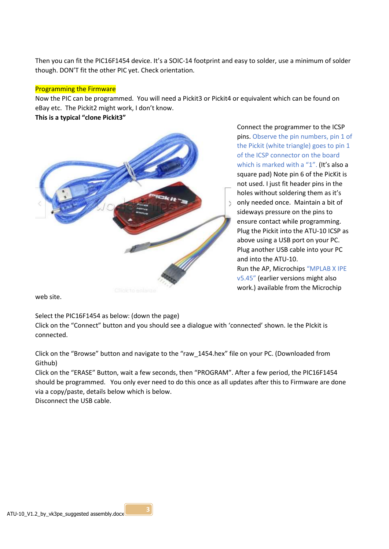Then you can fit the PIC16F1454 device. It's a SOIC-14 footprint and easy to solder, use a minimum of solder though. DON'T fit the other PIC yet. Check orientation.

### Programming the Firmware

Now the PIC can be programmed. You will need a Pickit3 or Pickit4 or equivalent which can be found on eBay etc. The Pickit2 might work, I don't know.

This is a typical "clone Pickit3"



Connect the programmer to the ICSP pins. Observe the pin numbers, pin 1 of the Pickit (white triangle) goes to pin 1 of the ICSP connector on the board which is marked with a "1". (It's also a square pad) Note pin 6 of the PicKit is not used. I just fit header pins in the holes without soldering them as it's only needed once. Maintain a bit of sideways pressure on the pins to ensure contact while programming. Plug the Pickit into the ATU-10 ICSP as above using a USB port on your PC. Plug another USB cable into your PC and into the ATU-10. Run the AP, Microchips "MPLAB X IPE v5.45" (earlier versions might also work.) available from the Microchip

web site.

Select the PIC16F1454 as below: (down the page)

Click on the "Connect" button and you should see a dialogue with 'connected' shown. Ie the PIckit is connected.

Click on the "Browse" button and navigate to the "raw\_1454.hex" file on your PC. (Downloaded from Github)

Click on the "ERASE" Button, wait a few seconds, then "PROGRAM". After a few period, the PIC16F1454 should be programmed. You only ever need to do this once as all updates after this to Firmware are done via a copy/paste, details below which is below.

Disconnect the USB cable.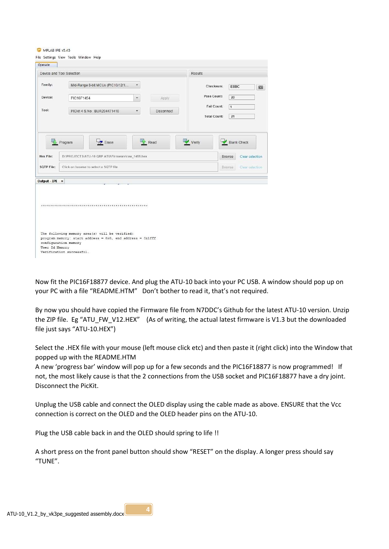MPI AR IPF v5.45

| Device and Tool Selection |                                                                                                                                          |                   | <b>Results</b>                            |                    |
|---------------------------|------------------------------------------------------------------------------------------------------------------------------------------|-------------------|-------------------------------------------|--------------------|
| Family:                   | Mid-Range 8-bit MCUs (PIC10/12/1<br>۰                                                                                                    |                   | Checksum:                                 | E8BC<br>823        |
| Device:                   | PIC16F1454<br>$\mathbf{v}$                                                                                                               | Apply             | Pass Count:                               | 20                 |
| Tool:                     | PICkit 4 S.No: BUR204471410<br>÷                                                                                                         | <b>Disconnect</b> | <b>Fail Count:</b><br><b>Total Count:</b> | $\mathbf{1}$<br>21 |
| SQTP File:                | Click on browse to select a SQTP file                                                                                                    |                   | Clear selection<br><b>Browse</b>          |                    |
|                           |                                                                                                                                          |                   |                                           |                    |
|                           |                                                                                                                                          |                   |                                           |                    |
|                           |                                                                                                                                          |                   |                                           |                    |
|                           |                                                                                                                                          |                   |                                           |                    |
|                           |                                                                                                                                          |                   |                                           |                    |
|                           |                                                                                                                                          |                   |                                           |                    |
| Output - IPE x            | The following memory area(s) will be verified:<br>program memory: start address = $0x0$ , end address = $0x1fff$<br>configuration memory |                   |                                           |                    |

Now fit the PIC16F18877 device. And plug the ATU-10 back into your PC USB. A window should pop up on your PC with a file "README.HTM" Don't bother to read it, that's not required.

By now you should have copied the Firmware file from N7DDC's Github for the latest ATU-10 version. Unzip the ZIP file. Eg "ATU\_FW\_V12.HEX" (As of writing, the actual latest firmware is V1.3 but the downloaded file just says "ATU-10.HEX")

Select the .HEX file with your mouse (left mouse click etc) and then paste it (right click) into the Window that popped up with the README.HTM

A new 'progress bar' window will pop up for a few seconds and the PIC16F18877 is now programmed! If not, the most likely cause is that the 2 connections from the USB socket and PIC16F18877 have a dry joint. Disconnect the PicKit.

Unplug the USB cable and connect the OLED display using the cable made as above. ENSURE that the Vcc connection is correct on the OLED and the OLED header pins on the ATU-10.

Plug the USB cable back in and the OLED should spring to life !!

A short press on the front panel button should show "RESET" on the display. A longer press should say "TUNE".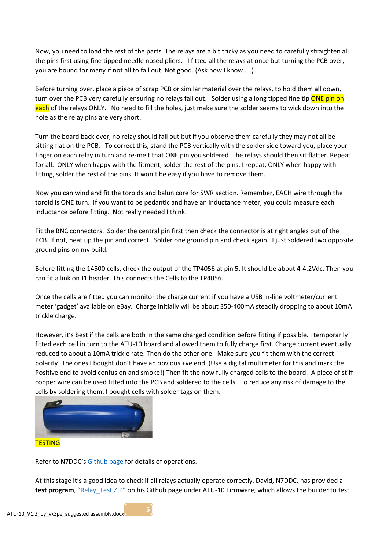Now, you need to load the rest of the parts. The relays are a bit tricky as you need to carefully straighten all the pins first using fine tipped needle nosed pliers. I fitted all the relays at once but turning the PCB over, you are bound for many if not all to fall out. Not good. (Ask how I know…..)

Before turning over, place a piece of scrap PCB or similar material over the relays, to hold them all down, turn over the PCB very carefully ensuring no relays fall out. Solder using a long tipped fine tip **ONE pin on** each of the relays ONLY. No need to fill the holes, just make sure the solder seems to wick down into the hole as the relay pins are very short.

Turn the board back over, no relay should fall out but if you observe them carefully they may not all be sitting flat on the PCB. To correct this, stand the PCB vertically with the solder side toward you, place your finger on each relay in turn and re-melt that ONE pin you soldered. The relays should then sit flatter. Repeat for all. ONLY when happy with the fitment, solder the rest of the pins. I repeat, ONLY when happy with fitting, solder the rest of the pins. It won't be easy if you have to remove them.

Now you can wind and fit the toroids and balun core for SWR section. Remember, EACH wire through the toroid is ONE turn. If you want to be pedantic and have an inductance meter, you could measure each inductance before fitting. Not really needed I think.

Fit the BNC connectors. Solder the central pin first then check the connector is at right angles out of the PCB. If not, heat up the pin and correct. Solder one ground pin and check again. I just soldered two opposite ground pins on my build.

Before fitting the 14500 cells, check the output of the TP4056 at pin 5. It should be about 4-4.2Vdc. Then you can fit a link on J1 header. This connects the Cells to the TP4056.

Once the cells are fitted you can monitor the charge current if you have a USB in-line voltmeter/current meter 'gadget' available on eBay. Charge initially will be about 350-400mA steadily dropping to about 10mA trickle charge.

However, it's best if the cells are both in the same charged condition before fitting if possible. I temporarily fitted each cell in turn to the ATU-10 board and allowed them to fully charge first. Charge current eventually reduced to about a 10mA trickle rate. Then do the other one. Make sure you fit them with the correct polarity! The ones I bought don't have an obvious +ve end. (Use a digital multimeter for this and mark the Positive end to avoid confusion and smoke!) Then fit the now fully charged cells to the board. A piece of stiff copper wire can be used fitted into the PCB and soldered to the cells. To reduce any risk of damage to the cells by soldering them, I bought cells with solder tags on them.



Refer to N7DDC's Github page for details of operations.

At this stage it's a good idea to check if all relays actually operate correctly. David, N7DDC, has provided a test program, "Relay Test.ZIP" on his Github page under ATU-10 Firmware, which allows the builder to test